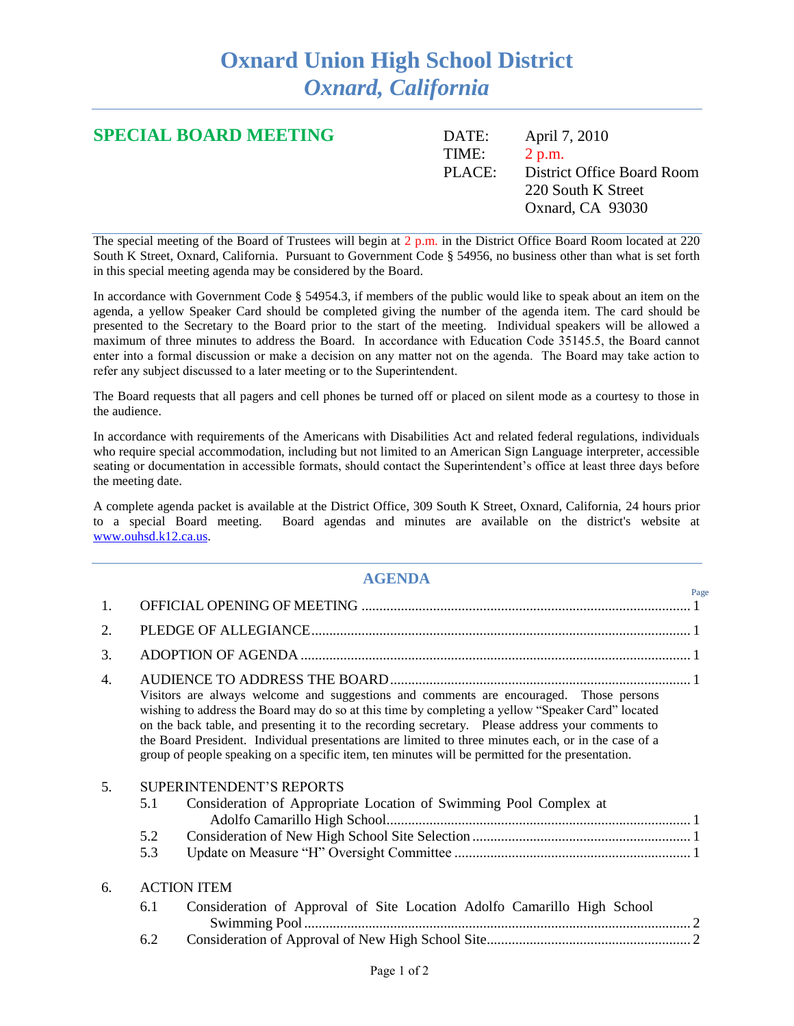## **Oxnard Union High School District** *Oxnard, California*

| <b>SPECIAL BOARD MEETING</b> | DATE: | April 7, 2010              |
|------------------------------|-------|----------------------------|
|                              | TIME: | 2 p.m.                     |
|                              | PIACE | District Office Board Room |
|                              |       | 220 South K Street         |
|                              |       | Oxnard, CA 93030           |
|                              |       |                            |

The special meeting of the Board of Trustees will begin at  $2$  p.m. in the District Office Board Room located at 220 South K Street, Oxnard, California. Pursuant to Government Code § 54956, no business other than what is set forth in this special meeting agenda may be considered by the Board.

In accordance with Government Code § 54954.3, if members of the public would like to speak about an item on the agenda, a yellow Speaker Card should be completed giving the number of the agenda item. The card should be presented to the Secretary to the Board prior to the start of the meeting. Individual speakers will be allowed a maximum of three minutes to address the Board. In accordance with Education Code 35145.5, the Board cannot enter into a formal discussion or make a decision on any matter not on the agenda. The Board may take action to refer any subject discussed to a later meeting or to the Superintendent.

The Board requests that all pagers and cell phones be turned off or placed on silent mode as a courtesy to those in the audience.

In accordance with requirements of the Americans with Disabilities Act and related federal regulations, individuals who require special accommodation, including but not limited to an American Sign Language interpreter, accessible seating or documentation in accessible formats, should contact the Superintendent's office at least three days before the meeting date.

A complete agenda packet is available at the District Office, 309 South K Street, Oxnard, California, 24 hours prior to a special Board meeting. Board agendas and minutes are available on the district's website at [www.ouhsd.k12.ca.us.](http://www.ouhsd.k12.ca.us/)

## **AGENDA**

|    |                   |                                                                                                                                                                                                                                                                                                                                                                                                                                                                                                             | Page |
|----|-------------------|-------------------------------------------------------------------------------------------------------------------------------------------------------------------------------------------------------------------------------------------------------------------------------------------------------------------------------------------------------------------------------------------------------------------------------------------------------------------------------------------------------------|------|
| 1. |                   |                                                                                                                                                                                                                                                                                                                                                                                                                                                                                                             |      |
| 2. |                   |                                                                                                                                                                                                                                                                                                                                                                                                                                                                                                             |      |
| 3. |                   |                                                                                                                                                                                                                                                                                                                                                                                                                                                                                                             |      |
| 4. |                   | Visitors are always welcome and suggestions and comments are encouraged. Those persons<br>wishing to address the Board may do so at this time by completing a yellow "Speaker Card" located<br>on the back table, and presenting it to the recording secretary. Please address your comments to<br>the Board President. Individual presentations are limited to three minutes each, or in the case of a<br>group of people speaking on a specific item, ten minutes will be permitted for the presentation. |      |
| 5. | 5.1<br>5.2<br>5.3 | <b>SUPERINTENDENT'S REPORTS</b><br>Consideration of Appropriate Location of Swimming Pool Complex at                                                                                                                                                                                                                                                                                                                                                                                                        |      |
| 6. | 6.1               | <b>ACTION ITEM</b><br>Consideration of Approval of Site Location Adolfo Camarillo High School                                                                                                                                                                                                                                                                                                                                                                                                               |      |
|    | 6.2               |                                                                                                                                                                                                                                                                                                                                                                                                                                                                                                             |      |